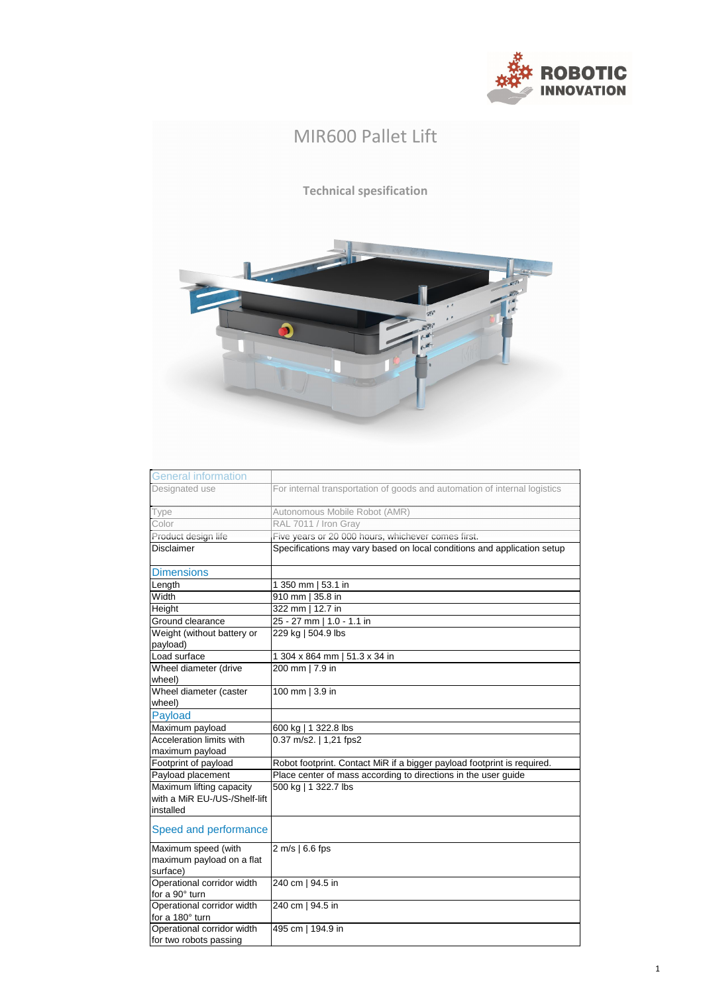| <b>General information</b>    |                                                                           |
|-------------------------------|---------------------------------------------------------------------------|
| Designated use                | For internal transportation of goods and automation of internal logistics |
| Type                          | Autonomous Mobile Robot (AMR)                                             |
| Color                         | RAL 7011 / Iron Gray                                                      |
| Product design life           | Five years or 20 000 hours, whichever comes first.                        |
| <b>Disclaimer</b>             | Specifications may vary based on local conditions and application setup   |
|                               |                                                                           |
| <b>Dimensions</b>             |                                                                           |
| Length                        | 1 350 mm   53.1 in                                                        |
| Width                         | 910 mm   35.8 in                                                          |
| Height                        | 322 mm   12.7 in                                                          |
| Ground clearance              | 25 - 27 mm   1.0 - 1.1 in                                                 |
| Weight (without battery or    | 229 kg   504.9 lbs                                                        |
| payload)                      |                                                                           |
| Load surface                  | 1 304 x 864 mm   51.3 x 34 in                                             |
| Wheel diameter (drive         | 200 mm   7.9 in                                                           |
| wheel)                        |                                                                           |
| Wheel diameter (caster        | 100 mm   3.9 in                                                           |
| wheel)                        |                                                                           |
| <b>Payload</b>                |                                                                           |
| Maximum payload               | 600 kg   1 322.8 lbs                                                      |
| Acceleration limits with      | 0.37 m/s2.   1,21 fps2                                                    |
| maximum payload               |                                                                           |
| Footprint of payload          | Robot footprint. Contact MiR if a bigger payload footprint is required.   |
| Payload placement             | Place center of mass according to directions in the user guide            |
| Maximum lifting capacity      | 500 kg   1 322.7 lbs                                                      |
| with a MiR EU-/US-/Shelf-lift |                                                                           |
| installed                     |                                                                           |
| Speed and performance         |                                                                           |
| Maximum speed (with           | $2 \text{ m/s}$   6.6 fps                                                 |
| maximum payload on a flat     |                                                                           |
| surface)                      |                                                                           |
| Operational corridor width    | 240 cm   94.5 in                                                          |
| for a 90° turn                |                                                                           |
| Operational corridor width    | 240 cm   94.5 in                                                          |
| for a 180° turn               |                                                                           |
| Operational corridor width    | 495 cm   194.9 in                                                         |
| for two robots passing        |                                                                           |

## MIR600 Pallet Lift **Technical spesification**  $\overline{\bullet}$



1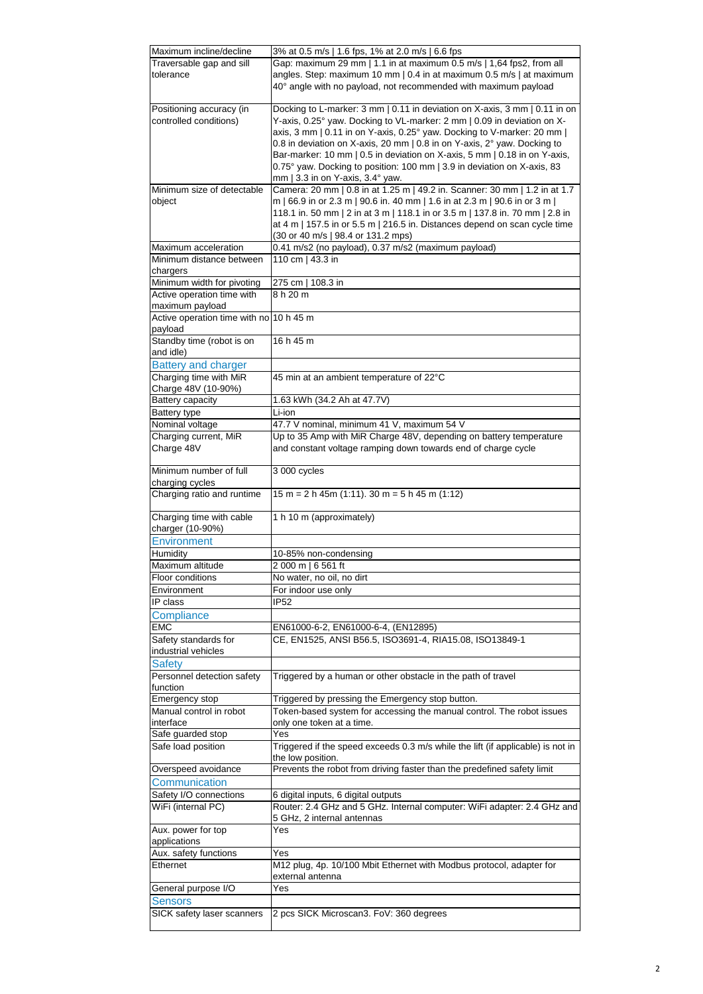| Maximum incline/decline                            | 3% at 0.5 m/s   1.6 fps, 1% at 2.0 m/s   6.6 fps                                                                                                      |
|----------------------------------------------------|-------------------------------------------------------------------------------------------------------------------------------------------------------|
| Traversable gap and sill                           | Gap: maximum 29 mm   1.1 in at maximum 0.5 m/s   1,64 fps2, from all                                                                                  |
| tolerance                                          | angles. Step: maximum 10 mm   0.4 in at maximum 0.5 m/s   at maximum                                                                                  |
|                                                    | 40° angle with no payload, not recommended with maximum payload                                                                                       |
|                                                    |                                                                                                                                                       |
| Positioning accuracy (in                           | Docking to L-marker: 3 mm   0.11 in deviation on X-axis, 3 mm   0.11 in on                                                                            |
| controlled conditions)                             | Y-axis, 0.25° yaw. Docking to VL-marker: 2 mm   0.09 in deviation on X-                                                                               |
|                                                    | axis, 3 mm   0.11 in on Y-axis, 0.25° yaw. Docking to V-marker: 20 mm                                                                                 |
|                                                    | 0.8 in deviation on X-axis, 20 mm   0.8 in on Y-axis, 2° yaw. Docking to<br>Bar-marker: 10 mm   0.5 in deviation on X-axis, 5 mm   0.18 in on Y-axis, |
|                                                    | 0.75° yaw. Docking to position: 100 mm   3.9 in deviation on X-axis, 83                                                                               |
|                                                    | mm   3.3 in on Y-axis, $3.4^{\circ}$ yaw.                                                                                                             |
| Minimum size of detectable                         | Camera: 20 mm   0.8 in at 1.25 m   49.2 in. Scanner: 30 mm   1.2 in at 1.7                                                                            |
| object                                             | m   66.9 in or 2.3 m   90.6 in. 40 mm   1.6 in at 2.3 m   90.6 in or 3 m                                                                              |
|                                                    | 118.1 in. 50 mm   2 in at 3 m   118.1 in or 3.5 m   137.8 in. 70 mm   2.8 in                                                                          |
|                                                    | at 4 m   157.5 in or 5.5 m   216.5 in. Distances depend on scan cycle time                                                                            |
|                                                    | (30 or 40 m/s   98.4 or 131.2 mps)                                                                                                                    |
| Maximum acceleration                               | 0.41 m/s2 (no payload), 0.37 m/s2 (maximum payload)                                                                                                   |
| Minimum distance between                           | 110 cm   43.3 in                                                                                                                                      |
| chargers                                           |                                                                                                                                                       |
| Minimum width for pivoting                         | 275 cm   108.3 in                                                                                                                                     |
| Active operation time with                         | 8 h 20 m                                                                                                                                              |
| maximum payload                                    |                                                                                                                                                       |
| Active operation time with no 10 h 45 m<br>payload |                                                                                                                                                       |
| Standby time (robot is on                          | 16 h 45 m                                                                                                                                             |
| and idle)                                          |                                                                                                                                                       |
| <b>Battery and charger</b>                         |                                                                                                                                                       |
| Charging time with MiR                             | 45 min at an ambient temperature of 22°C                                                                                                              |
| Charge 48V (10-90%)                                |                                                                                                                                                       |
| Battery capacity                                   | 1.63 kWh (34.2 Ah at 47.7V)                                                                                                                           |
| <b>Battery type</b>                                | Li-ion                                                                                                                                                |
| Nominal voltage                                    | 47.7 V nominal, minimum 41 V, maximum 54 V                                                                                                            |
| Charging current, MiR                              | Up to 35 Amp with MiR Charge 48V, depending on battery temperature                                                                                    |
| Charge 48V                                         | and constant voltage ramping down towards end of charge cycle                                                                                         |
|                                                    |                                                                                                                                                       |
| Minimum number of full                             | 3 000 cycles                                                                                                                                          |
| charging cycles                                    |                                                                                                                                                       |
| Charging ratio and runtime                         | $15 m = 2 h 45m (1:11)$ . 30 m = 5 h 45 m (1:12)                                                                                                      |
| Charging time with cable                           | 1 h 10 m (approximately)                                                                                                                              |
| charger (10-90%)                                   |                                                                                                                                                       |
| <b>Environment</b>                                 |                                                                                                                                                       |
| <b>Humidity</b>                                    | 10-85% non-condensing                                                                                                                                 |
| Maximum altitude                                   | 2 000 m   6 561 ft                                                                                                                                    |
| Floor conditions                                   | No water, no oil, no dirt                                                                                                                             |
| Environment                                        | For indoor use only                                                                                                                                   |
| IP class                                           | <b>IP52</b>                                                                                                                                           |
| Compliance                                         |                                                                                                                                                       |
| <b>EMC</b>                                         | EN61000-6-2, EN61000-6-4, (EN12895)                                                                                                                   |
| Safety standards for                               | CE, EN1525, ANSI B56.5, ISO3691-4, RIA15.08, ISO13849-1                                                                                               |
| industrial vehicles                                |                                                                                                                                                       |
| <b>Safety</b>                                      |                                                                                                                                                       |
| Personnel detection safety                         | Triggered by a human or other obstacle in the path of travel                                                                                          |
| function                                           |                                                                                                                                                       |
| <b>Emergency stop</b>                              | Triggered by pressing the Emergency stop button.                                                                                                      |
| Manual control in robot                            | Token-based system for accessing the manual control. The robot issues                                                                                 |
| interface                                          | only one token at a time.<br>Yes                                                                                                                      |
| Safe guarded stop<br>Safe load position            | Triggered if the speed exceeds 0.3 m/s while the lift (if applicable) is not in                                                                       |
|                                                    | the low position.                                                                                                                                     |
| Overspeed avoidance                                | Prevents the robot from driving faster than the predefined safety limit                                                                               |
| <b>Communication</b>                               |                                                                                                                                                       |
| Safety I/O connections                             | 6 digital inputs, 6 digital outputs                                                                                                                   |
| WiFi (internal PC)                                 | Router: 2.4 GHz and 5 GHz. Internal computer: WiFi adapter: 2.4 GHz and                                                                               |
|                                                    | 5 GHz, 2 internal antennas                                                                                                                            |
| Aux. power for top                                 | Yes                                                                                                                                                   |
| applications                                       |                                                                                                                                                       |
| Aux. safety functions                              | Yes                                                                                                                                                   |
| <b>Ethernet</b>                                    | M12 plug, 4p. 10/100 Mbit Ethernet with Modbus protocol, adapter for                                                                                  |
|                                                    | external antenna                                                                                                                                      |
| General purpose I/O                                | Yes                                                                                                                                                   |
| <b>Sensors</b>                                     |                                                                                                                                                       |
| SICK safety laser scanners                         | 2 pcs SICK Microscan3. FoV: 360 degrees                                                                                                               |
|                                                    |                                                                                                                                                       |

2